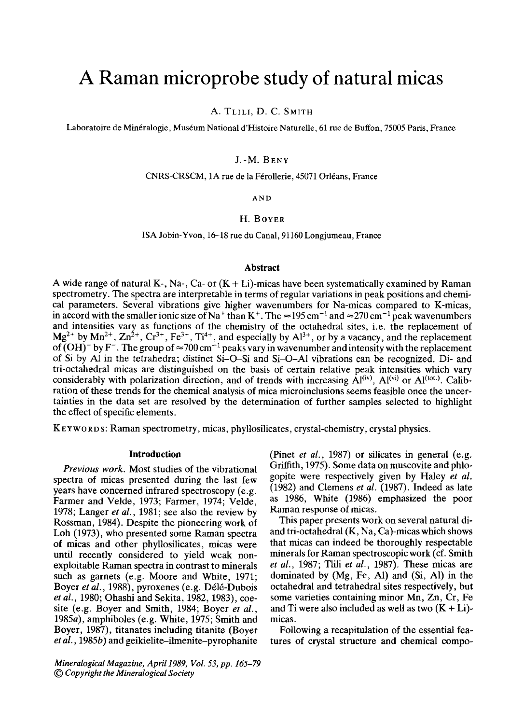# **A Raman microprobe study of natural micas**

A. TLILI, D. C. SMITH

Laboratoire de Minéralogie, Muséum National d'Histoire Naturelle, 61 rue de Buffon, 75005 Paris, France

# J.-M. BENY

CNRS-CRSCM, 1A rue de la Férollerie, 45071 Orléans, France

AND

# **H.** BOYER

ISA Jobin-Yvon, 16-18 rue du Canal, 91160 Longjumeau, France

## **Abstract**

A wide range of natural K-, Na-, Ca- or  $(K + Li)$ -micas have been systematically examined by Raman spectrometry. The spectra are interpretable in terms of regular variations in peak positions and chemical parameters. Several vibrations give higher wavenumbers for Na-micas compared to K-micas, in accord with the smaller ionic size of Na<sup>+</sup> than K<sup>+</sup>. The  $\approx$ 195 cm<sup>-1</sup> and  $\approx$ 270 cm<sup>-1</sup> peak wavenumbers and intensities vary as functions of the chemistry of the octahedral sites, i.e. the replacement of  $Mg^{2+}$  by  $Mn^{2+}$ ,  $Zn^{2+}$ ,  $Cr^{3+}$ ,  $Fe^{3+}$ ,  $Ti^{4+}$ , and especially by  $Al^{3+}$ , or by a vacancy, and the replacement of (OH)<sup>-</sup> by F<sup>-</sup>. The group of  $\approx$ 700 cm<sup>-1</sup> peaks vary in wavenumber and intensity with the replacement of Si by A1 in the tetrahedra; distinct Si-O-Si and Si-O-AI vibrations can be recognized. Di- and tri-octahedral micas are distinguished on the basis of certain relative peak intensities which vary considerably with polarization direction, and of trends with increasing  $\hat{A}^{(iv)}$ ,  $A^{(vi)}$  or  $A^{(tot)}$ . Calibration of these trends for the chemical analysis of mica microinclusions seems feasible once the uncertainties in the data set are resolved by the determination of further samples selected to highlight the effect of specific elements.

K E Y WORDS: Raman spectrometry, micas, phyllosilicates, crystal-chemistry, crystal physics.

#### **Introduction**

*Previous work.* Most studies of the vibrational spectra of micas presented during the last few years have concerned infrared spectroscopy (e.g. Farmer and Velde, 1973; Farmer, 1974; Velde, 1978; Langer *et al.,* 1981; see also the review by Rossman, 1984). Despite the pioneering work of Loh (1973), who presented some Raman spectra of micas and other phyllosilicates, micas were until recently considered to yield weak nonexploitable Raman spectra in contrast to minerals such as garnets (e.g. Moore and White, 1971; Boyer et al., 1988), pyroxenes (e.g. Délé-Dubois *et al.,* 1980; Ohashi and Sekita, 1982, 1983), coesite (e.g. Boyer and Smith, 1984; Boyer *et al.,*  1985a), amphiboles (e.g. White, 1975; Smith and Boyer, 1987), titanates including titanite (Boyer *et al.,* 1985b) and geikielite-ilmenite-pyrophanite

*Mineralogical Magazine, April 1989, Vol. 53, pp. 165-79 t~) Copyright the Mineralogical Society* 

(Pinet *et al.,* 1987) or silicates in general (e.g. Griffith, 1975). Some data on muscovite and phlogopite were respectively given by Haley *et al.*  (1982) and Clemens *et al.* (1987). Indeed as late as 1986, White (1986) emphasized the poor Raman response of micas.

This paper presents work on several natural diand tri-octahedral (K, Na, Ca)-micas which shows that micas can indeed be thoroughly respectable minerals for Raman spectroscopic work (cf. Smith *et al.,* 1987; Tlili *et al.,* 1987). These micas are dominated by (Mg, Fe, A1) and (Si, A1) in the octahedral and tetrahedral sites respectively, but some varieties containing minor Mn, Zn, Cr, Fe and Ti were also included as well as two  $(K + Li)$ micas.

Following a recapitulation of the essential features of crystal structure and chemical compo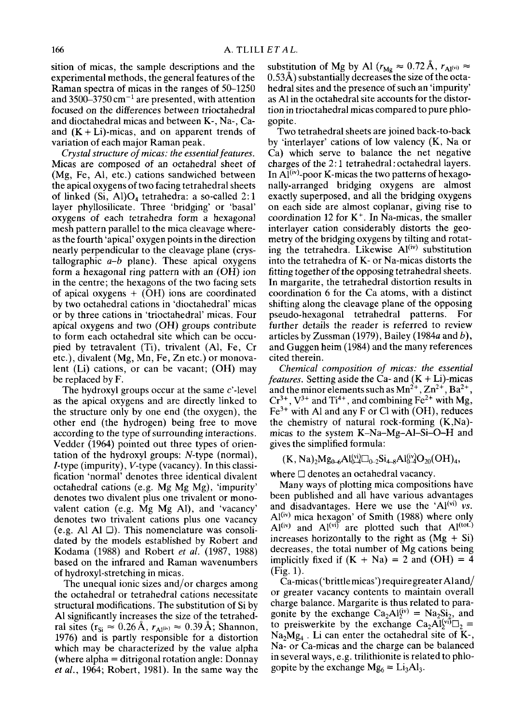sition of micas, the sample descriptions and the experimental methods, the general features of the Raman spectra of micas in the ranges of 50-1250 and 3500–3750 cm<sup> $-1$ </sup> are presented, with attention focused on the differences between trioctahedral and dioctahedral micas and between K-, Na-, Caand  $(K + Li)$ -micas, and on apparent trends of variation of each major Raman peak.

*Crystal structure of micas: the essential features.*  Micas are composed of an octahedral sheet of (Mg, Fe, Al, etc.) cations sandwiched between the apical oxygens of two facing tetrahedral sheets of linked (Si, Al) $O_4$  tetrahedra: a so-called 2:1 layer phyllosilicate. Three 'bridging' or 'basal' oxygens of each tetrahedra form a hexagonal mesh pattern parallel to the mica cleavage whereas the fourth 'apical' oxygen points in the direction nearly perpendicular to the cleavage plane (crystallographic *a-b* plane). These apical oxygens form a hexagonal ring pattern with an (OH) ion in the centre; the hexagons of the two facing sets of apical oxygens  $+$  (OH) ions are coordinated by two octahedral cations in 'dioctahedral' micas or by three cations in 'trioctahedral' micas. Four apical oxygens and two (OH) groups contribute to form each octahedral site which can be occupied by tetravalent (Ti), trivalent (A1, Fe, Cr etc.), divalent (Mg, Mn, Fe, Zn etc.) or monovalent (Li) cations, or can be vacant; (OH) may be replaced by F.

The hydroxyl groups occur at the same  $c'$ -level as the apical oxygens and are directly linked to the structure only by one end (the oxygen), the other end (the hydrogen) being free to move according to the type of surrounding interactions. Vedder (1964) pointed out three types of orientation of the hydroxyl groups: N-type (normal), /-type (impurity), V-type (vacancy). In this classification 'normal' denotes three identical divalent octahedral cations (e.g. Mg Mg Mg), 'impurity' denotes two divalent plus one trivalent or monovalent cation (e.g. Mg Mg Al), and 'vacancy' denotes two trivalent cations plus one vacancy (e.g. Al Al  $\Box$ ). This nomenclature was consolidated by the models established by Robert and Kodama (1988) and Robert *et al.* (1987, 1988) based on the infrared and Raman wavenumbers of hydroxyl-stretching in micas.

The unequal ionic sizes and/or charges among the octahedral or tetrahedral cations necessitate structural modifications. The substitution of Si by A1 significantly increases the size of the tetrahedral sites ( $r_{Si} \approx 0.26~\text{\AA}$ ,  $r_{Al}$ (iv)  $\approx 0.39~\text{\AA}$ ; Shannon, 1976) and is partly responsible for a distortion which may be characterized by the value alpha (where alpha  $=$  ditrigonal rotation angle: Donnay *et al.,* 1964; Robert, 1981). In the same way the

substitution of Mg by Al ( $r_{\text{Mg}} \approx 0.72 \text{ Å}$ ,  $r_{\text{Al}}(v_i) \approx$ 0.53Å) substantially decreases the size of the octahedral sites and the presence of such an 'impurity' as A1 in the octahedral site accounts for the distortion in trioctahedral micas compared to pure phlogopite.

Two tetrahedral sheets are joined back-to-back by 'interlayer' cations of low valency (K, Na or Ca) which serve to balance the net negative charges of the 2:1 tetrahedral : octahedral layers. In  $AI^{(iv)}$ -poor K-micas the two patterns of hexagonally-arranged bridging oxygens are almost exactly superposed, and all the bridging oxygens on each side are almost coplanar, giving rise to coordination 12 for  $K^+$ . In Na-micas, the smaller interlayer cation considerably distorts the geometry of the bridging oxygens by tilting and rotating the tetrahedra. Likewise  $Al<sup>(iv)</sup>$  substitution into the tetrahedra of K- or Na-micas distorts the fitting together of the opposing tetrahedral sheets. In margarite, the tetrahedral distortion results in coordination 6 for the Ca atoms, with a distinct shifting along the cleavage plane of the opposing pseudo-hexagonal tetrahedral patterns. For further details the reader is referred to review articles by Zussman (1979), Bailey (1984a and b), and Guggen heim (1984) and the many references cited therein.

*Chemical composition of micas: the essential features.* Setting aside the Ca- and  $(K + Li)$ -micas and the minor elements such as  $Mn^{2+}$ ,  $Zn^{2+}$ , Ba<sup>2+</sup>,  $Cr^{3+}$ ,  $V^{3+}$  and Ti<sup>4+</sup>, and combining Fe<sup>2+</sup> with Mg,  $Fe<sup>3+</sup>$  with Al and any F or Cl with (OH), reduces the chemistry of natural rock-forming (K,Na) micas to the system K-Na-Mg-A1-Si-O-H and gives the simplified formula:

 $(K, Na)<sub>2</sub>Mg<sub>0–6</sub>Al_{\mathbf{Q}}^{(vi)}\Box_{0-2}Si<sub>4–8</sub>Al_{\mathbf{Q}}^{(iv)}O<sub>20</sub>(OH)<sub>4</sub>$ 

where  $\Box$  denotes an octahedral vacancy.

Many ways of plotting mica compositions have been published and all have various advantages and disadvantages. Here we use the  $'Al^{(vi)}$  *vs.* Al<sup>(iv)</sup> mica hexagon' of Smith (1988) where only  $Al^{(iv)}$  and  $Al^{(vi)}$  are plotted such that  $Al^{(tot.)}$ increases horizontally to the right as  $(Mg + Si)$ decreases, the total number of Mg cations being implicitly fixed if  $(K + Na) = 2$  and  $(OH) = 4$ (Fig. 1).

Ca-micas ('brittle micas') require greater Al and/ or greater vacancy contents to maintain overall charge balance. Margarite is thus related to paragonite by the exchange  $Ca<sub>2</sub>Al<sub>2</sub><sup>(iv)</sup> = Na<sub>2</sub>Si<sub>2</sub>$ , and to preiswerkite by the exchange  $Ca<sub>2</sub>Al<sup>(vi)</sup>\square_2 =$  $Na<sub>2</sub>Mg<sub>4</sub>$ . Li can enter the octahedral site of K-, Na- or Ca-micas and the charge can be balanced in several ways, e.g. trilithionite is related to phlogopite by the exchange  $Mg_6 = Li_3Al_3$ .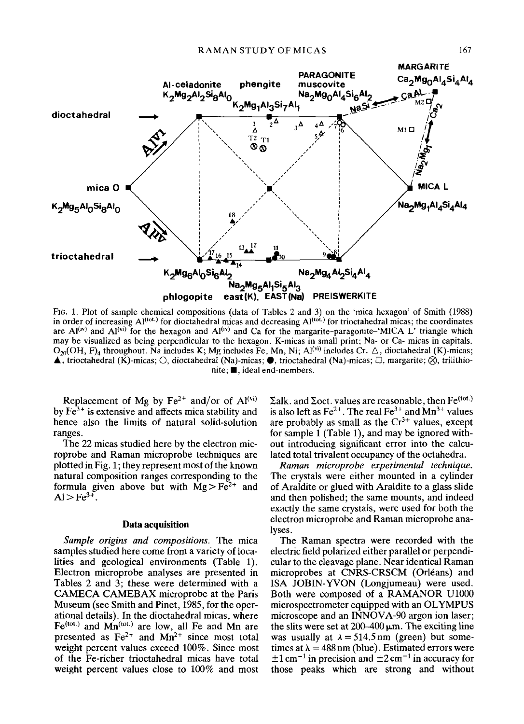

FIG. 1. Plot of sample chemical compositions (data of Tables 2 and 3) on the 'mica hexagon' of Smith (1988) in order of increasing  $Al^{(tot.)}$  for dioctahedral micas and decreasing  $Al^{(tot.)}$  for trioctahedral micas; the coordinates are  $A^{(iv)}$  and  $A^{(vi)}$  for the hexagon and  $A^{(iv)}$  and Ca for the margarite-paragonite-'MICA L' triangle which may be visualized as being perpendicular to the hexagon. K-micas in small print; Na- or Ca- micas in capitals.  $O_{20}(OH, F)_{4}$  throughout. Na includes K; Mg includes Fe, Mn, Ni; Al<sup>(vi)</sup> includes Cr.  $\triangle$ , dioctahedral (K)-micas;  $\blacktriangle$ , trioctahedral (K)-micas;  $\bigcirc$ , dioctahedral (Na)-micas;  $\blacktriangleright$ , trioctahedral (Na)-micas;  $\Box$ , margarite;  $\bigotimes$ , trilithio $nite$ ;  $\blacksquare$ , ideal end-members.

Replacement of Mg by  $Fe^{2+}$  and/or of  $Al<sup>(vi)</sup>$ by  $Fe<sup>3+</sup>$  is extensive and affects mica stability and hence also the limits of natural solid-solution ranges.

The 22 micas studied here by the electron microprobe and Raman microprobe techniques are plotted in Fig. 1; they represent most of the known natural composition ranges corresponding to the formula given above but with  $Mg > Fe^{2+}$  and  $Al > Fe^{3+}$ .

## **Data acquisition**

*Sample origins and compositions. The* mica samples studied here come from a variety of localities and geological environments (Table 1). Electron microprobe analyses are presented in Tables 2 and 3; these were determined with a CAMECA CAMEBAX microprobe at the Paris Museum (see Smith and Pinet, 1985, for the operational details). In the dioctahedral micas, where  $Fe^{(tot.)}$  and  $Mn^{(tot.)}$  are low, all Fe and Mn are presented as  $Fe^{2+}$  and  $Mn^{2+}$  since most total weight percent values exceed 100%. Since most of the Fe-richer trioctahedral micas have total weight percent values close to 100% and most  $\Sigma$ alk. and  $\Sigma$ oct. values are reasonable, then Fe<sup>(tot.)</sup> is also left as  $Fe^{2+}$ . The real  $Fe^{3+}$  and  $Mn^{3+}$  values are probably as small as the  $Cr^{3+}$  values, except for sample 1 (Table 1), and may be ignored without introducing significant error into the calculated total trivalent occupancy of the octahedra.

*Raman microprobe experimental technique.*  The crystals were either mounted in a cylinder of Araldite or glued with Araldite to a glass slide and then polished; the same mounts, and indeed exactly the same crystals, were used for both the electron microprobe and Raman microprobe analyses.

The Raman spectra were recorded with the electric field polarized either parallel or perpendicular to the cleavage plane. Near identical Raman microprobes at CNRS-CRSCM (Orléans) and ISA JOBIN-YVON (Longjumeau) were used. Both were composed of a RAMANOR U1000 microspectrometer equipped with an OLYMPUS microscope and an INNOVA-90 argon ion laser; the slits were set at  $200-400 \mu m$ . The exciting line was usually at  $\lambda = 514.5$  nm (green) but sometimes at  $\lambda = 488$  nm (blue). Estimated errors were  $\pm 1$  cm<sup>-1</sup> in precision and  $\pm 2$  cm<sup>-1</sup> in accuracy for those peaks which are strong and without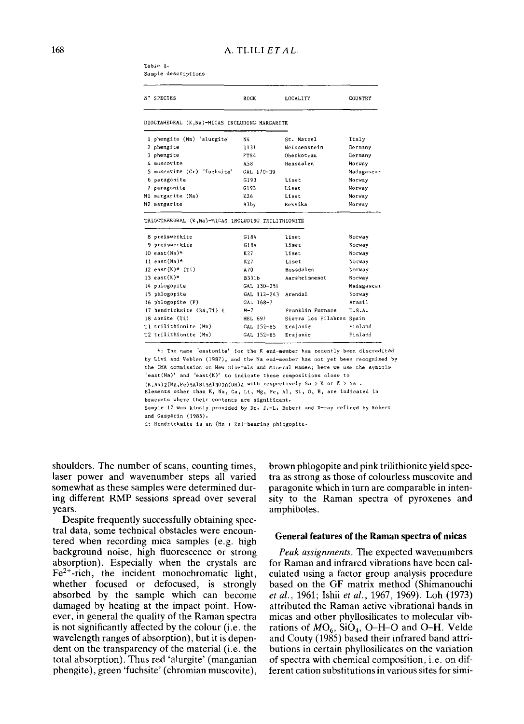Table 1. Sample descriptions

| N° SPECIES                                                            | ROCK           | LOCALITY                  | COUNTRY    |  |  |
|-----------------------------------------------------------------------|----------------|---------------------------|------------|--|--|
| DIOCTAHEDRAL (K, Na)-MICAS INCLUDING MARGARITE                        |                |                           |            |  |  |
| I phengite (Mn) 'alurgite'                                            | Ν4             | St. Marcel                | Italy      |  |  |
| 2 phengite                                                            | 1131           | Weissenstein              | Germany    |  |  |
| 3 phengite                                                            | FTS4           | Oberkotzau                | Germany    |  |  |
| 4 muscovite                                                           | A58            | Hessdalen                 | Norway     |  |  |
| 5 muscovite (Cr) 'fuchsite'                                           | GAL 170-39     |                           | Madagascar |  |  |
| 6 paragonite                                                          | G193           | Liset                     | Norway     |  |  |
| 7 paragonite                                                          | G193           | Liset                     | Norway     |  |  |
| Ml margarite (Na)                                                     | K26            | Liset                     | Norway     |  |  |
|                                                                       |                |                           |            |  |  |
| M2 margarite                                                          | 93by           | Rekvika                   | Norway     |  |  |
| TRIOCTAHEDRAL (K, Na)-MICAS INCLUDING TRILITHIONITE<br>8 preiswerkite | G184           | Liset                     | Norway     |  |  |
| 9 preiswerkite                                                        | G184           | Liset                     | Norway     |  |  |
| $10$ east (Na)*                                                       | K27            | $1.1$ set                 | Norway     |  |  |
| 11 east(Na)*                                                          | K27            | Liset                     | Norway     |  |  |
| 12 east $(K)$ * (Ti)                                                  | A70            | Hessdalen                 | Norway     |  |  |
| 13 east $(K)$ *                                                       | <b>B331b</b>   | Aarsheimneset             | Norway     |  |  |
| 14 phlogopite                                                         | GAL 130-251    |                           | Madagascar |  |  |
| 15 phlogopite                                                         | GAL 112-243    | Arendal                   | Norway     |  |  |
| 16 phlogopite (F)                                                     | GAL 168-7      |                           | Brazil     |  |  |
| 17 hendricksite (Ba,Ti) £                                             | $M-7$          | Franklin Furnace          | U.S.A.     |  |  |
| 18 annite (Ti)                                                        | <b>HEL 697</b> | Sierra los Filabres Spain |            |  |  |
| Tl crilithionite (Mn)                                                 | GAL 152-85     | Erajanie                  | Finland    |  |  |

\*: The name 'eastonite' for the K end-member has recently been discredited hy Livi and Veblen (1987), and the Na end-member has not yet been reeognised by the IMA commission on New Minersls and Mineral Names; bere we use the symbols 'east(Na)' and 'east(K)' to indicate those compositions close to  $(K,Na)2(Mg,Fe)5A1S15A13020(OH)4$  with respectively Na > K or K > Na . Elements other than K, Na, Ca, Li, Mg, Fe, Al, Si, O, H, are indicated in brackets where their contents are significant.

Sample 17 was kindly provided by Dr. J.-L. Robert and X-ray refined by Robert and Gaspérin (1985).

£: Hendricksite is an (Mn + Zn)-bearing phlogopite.

shoulders. The number of scans, counting times, laser power and wavenumber steps all varied somewhat as these samples were determined during different RMP sessions spread over several years.

Despite frequently successfully obtaining spectral data, some technical obstacles were encountered when recording mica samples (e.g. high background noise, high fluorescence or strong absorption). Especially when the crystals are  $Fe<sup>2+</sup>$ -rich, the incident monochromatic light, whether focused or defocused, is strongly absorbed by the sample which can become damaged by heating at the impact point. However, in general the quality of the Raman spectra is not significantly affected by the colour (i.e. the wavelength ranges of absorption), but it is dependent on the transparency of the material (i.e. the total absorption). Thus red 'alurgite' (manganian phengite), green 'fuchsite' (chromian muscovite), brown phlogopite and pink trilithionite yield spectra as strong as those of colourless muscovite and paragonite which in turn are comparable in intensity to the Raman spectra of pyroxenes and amphiboles.

#### **General features of the Raman spectra of micas**

*Peak assignments.* The expected wavenumbers for Raman and infrared vibrations have been calculated using a factor group analysis procedure based on the GF matrix method (Shimanouchi *et al.,* 1961; Ishii *et al.,* 1967, 1969). Loh (1973) attributed the Raman active vibrational bands in micas and other phyllosilicates to molecular vibrations of  $MO_6$ ,  $SiO_4$ , O–H–O and O–H. Velde and Couty (1985) based their infrared band attributions in certain phyUosilicates on the variation of spectra with chemical composition, i.e. on different cation substitutions in various sites for simi-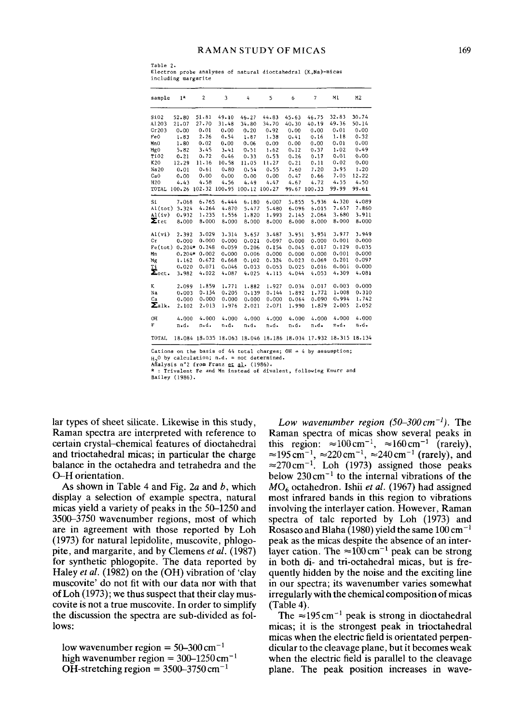#### RAMAN STUDY OF MICAS

Table 2. Electron probe analyses of natural dioctahedral (K,Na)-mlcas including margarite

| sample                  | $1*$     | $\boldsymbol{2}$     | 3         | 4        | 5                                                              | 6         | $\overline{7}$ | MI       | M2       |
|-------------------------|----------|----------------------|-----------|----------|----------------------------------------------------------------|-----------|----------------|----------|----------|
|                         |          |                      |           |          |                                                                |           |                |          |          |
| Si02                    | 52.80    | 51.81                | 49.10     | 46.27    | 44.83                                                          | 45.63     | 46.75          | 32.83    | 30.74    |
| A1203                   | 21.07    | 27.70                | 31.48     | 34.80    | 34.70                                                          | $40 - 30$ | 40.19          | 49.36    | 50.14    |
| Cr203                   | $0 - 00$ | 0.01                 | 0.00      | 0.20     | 0.92                                                           | $0 - 00$  | 0.00           | 0.01     | $0 - 00$ |
| FeO                     | 1.83     | $2 - 26$             | 0.54      | 1,87     | 1.38                                                           | 0.41      | 0.16           | 1.18     | $0 - 32$ |
| MnO                     | 1.80     | 0.02                 | 0.00      | 0.06     | 0.00                                                           | 0.00      | $0 - 00$       | 0.01     | 0.00     |
| MgO                     | 5.82     | 3.45                 | 3.41      | $0 - 51$ | 1.62                                                           | 0.12      | 0.37           | 1.02     | 0.49     |
| Ti02                    | $0 - 21$ | 0.72                 | 0.46      | 0.33     | 0.53                                                           | 0.26      | 0.17           | 0.01     | 0.00     |
| K20                     | 12.29    | 11.16                | 10.58     | 11.05    | 11.27                                                          | $0 - 21$  | 0.11           | $0 - 02$ | 0.00     |
| Na20                    | 0.01     | $0 - 61$             | 0.80      | 0.54     | 0.55                                                           | 7.60      | 7.20           | 3.95     | 1.20     |
| CaO                     | $0 - 00$ | 0.00                 | $0 - 00$  | $0 - 00$ | 0.00                                                           | $0 - 47$  | 0.66           | 7.05     | 12.22    |
| <b>H2O</b>              | 4.43     | 4.58                 | 4.56      | 4.49     | 4.47                                                           | 4.67      | 4.72           | 4.55     | 4.50     |
| TOTAL                   | 100.26   | 102.32 100.95 100.12 |           |          | 100-27                                                         | 99.67     | 100.33         | 99.99    | 99.61    |
| Si                      | 7,068    | 6.765                | 6.444     | 6.180    | 6,007                                                          | 5.855     | 5.936          | 4.320    | 4.089    |
| AI(tot)                 | 3.324    | 4.264                | 4.870     | 5.477    | 5.480                                                          | 6.096     | 6.015          | 7.657    | 7.860    |
| Al(iv)                  | 0.932    | 1.235                | 1.556     | 1.820    | 1,993                                                          | 2.145     | 2.064          | 3.680    | 3.911    |
| $\Sigma$ tet            | 8,000    | 8.000                | 8,000     | 8.000    | 8,000                                                          | 8.000     | 8.000          | 8-000    | 8.000    |
| Al(vi)                  | 2.392    | 3.029                | 3.314     | 3.657    | 3.487                                                          | 3.951     | 3.951          | 3,977    | 3.949    |
| Cт                      | 0.000    | 0.000                | 0.000     | 0.021    | 0.097                                                          | 0.000     | 0.000          | 0.001    | 0.000    |
| Fe(tot)                 | $0.204*$ | 0.248                | 0.059     | 0.206    | 0.154                                                          | 0.045     | 0.017          | 0.129    | 0.035    |
| Mn                      | $0.204*$ | 0.002                | 0.000     | 0.006    | 0.000                                                          | $0 - 000$ | 0.000          | 0.001    | 0.000    |
| Mg                      | 1.162    | 0.672                | 0.668     | 0.102    | 0.324                                                          | 0.023     | 0.069          | 0.201    | 0.097    |
| Τi                      | 0.020    | 0.071                | 0.046     | 0.033    | 0.053                                                          | 0.025     | 0.016          | 0.001    | 0.000    |
| $\Sigma_{\text{oct}}$ . | 3.982    | 4.022                | 4.087     | 4.025    | 4.115                                                          | 4.044     | 4.053          | 4.309    | 4.081    |
| K                       | 2.099    | 1.859                | 1.771     | 1.882    | 1.927                                                          | 0.034     | 0.017          | 0.003    | 0.000    |
| Na                      | 0.003    | 0.154                | 0.205     | 0.139    | 0.144                                                          | 1.892     | 1.772          | 1,008    | 0.310    |
| Ca                      | 0.000    | 0.000                | $0 - 000$ | 0.000    | 0.000                                                          | 0.064     | 0.090          | 0.994    | 1.742    |
| $\Sigma$ alk.           | 2.102    | 2.013                | 1.976     | 2,021    | 2.071                                                          | 1,990     | 1.879          | 2,005    | 2.052    |
| OH                      | 4,000    | 4.000                | 4,000     | 4,000    | 4.000                                                          | 4.000     | 4,000          | 4.000    | 4.000    |
| ₽                       | n.d.     | n.d.                 | n.d.      | n.d.     | n.d.                                                           | n.d.      | n.d.           | n.d.     | n.d.     |
| TOTAL                   |          |                      |           |          | 18.084 18.035 18.063 18.046 18.186 18.034 17.932 18.315 18.134 |           |                |          |          |

Cations on the basis of 44 total charges; OH = 4 by assumption;<br>H<sub>2</sub>O by calculation; n.d. = not determined.

Añalysis n°2 from Franz <u>et al</u>. (1986).<br>\* : Trivalent Fe and Mn instead of divalent, following Knurr and Bailey (1986).

lar types of sheet silicate. Likewise in this study, Raman spectra are interpreted with reference to certain crystal--chemical features of dioctahedral and trioctahedral micas; in particular the charge balance in the octahedra and tetrahedra and the O-H orientation.

As shown in Table 4 and Fig. 2a and b, which display a selection of example spectra, natural micas yield a variety of peaks in the 50-1250 and 3500-3750 wavenumber regions, most of which are in agreement with those reported by Loh (1973) for natural lepidolite, muscovite, phlogopite, and margarite, and by Clemens *et al.* (1987) for synthetic phlogopite. The data reported by Haley *et al.* (1982) on the (OH) vibration of 'clay muscovite' do not fit with our data nor with that of Loh (1973); we thus suspect that their clay muscovite is not a true muscovite. In order to simplify the discussion the spectra are sub-divided as follows:

low wavenumber region =  $50-300$  cm<sup>-1</sup> high wavenumber region =  $300-1250$  cm<sup>-1</sup> OH-stretching region =  $3500-3750$  cm<sup>-1</sup>

Low wavenumber region  $(50-300 \text{ cm}^{-1})$ . The Raman spectra of micas show several peaks in this region:  $\approx 100 \text{ cm}^{-1}$ ,  $\approx 160 \text{ cm}^{-1}$  (rarely),  $\approx$ 195 cm<sup>-1</sup>,  $\approx$ 220 cm<sup>-1</sup>,  $\approx$ 240 cm<sup>-1</sup> (rarely), and  $\approx$ 270 cm<sup>-1</sup>. Loh (1973) assigned those peaks below  $230 \text{ cm}^{-1}$  to the internal vibrations of the MO<sub>6</sub> octahedron. Ishii *et al.* (1967) had assigned most infrared bands in this region to vibrations involving the interlayer cation. However, Raman spectra of talc reported by Loh (1973) and Rosasco and Blaha (1980) yield the same  $100 \text{ cm}^{-1}$ peak as the micas despite the absence of an interlayer cation. The  $\approx 100 \text{ cm}^{-1}$  peak can be strong in both di- and tri-octahedral micas, but is frequently hidden by the noise and the exciting line in our spectra; its wavenumber varies somewhat irregularly with the chemical composition of micas (Table 4).

The  $\approx 195 \text{ cm}^{-1}$  peak is strong in dioctahedral micas; it is the strongest peak in trioctahedral micas when the electric field is orientated perpendicular to the cleavage plane, but it becomes weak when the electric field is parallel to the cleavage plane. The peak position increases in wave-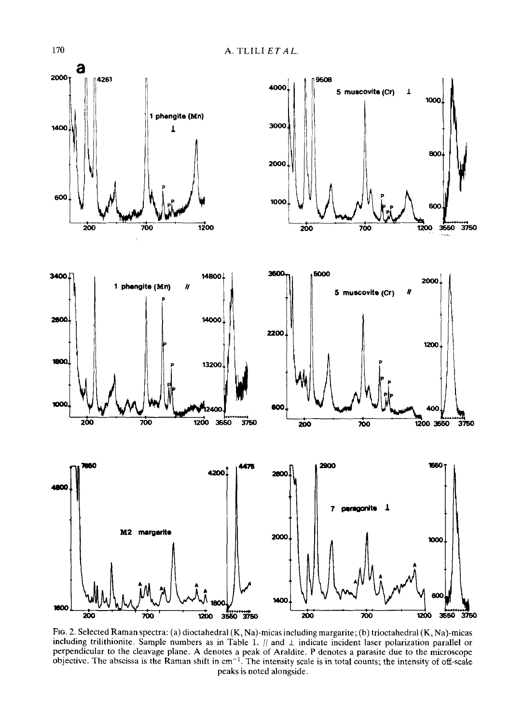

Fro. 2. Selected Raman spectra: (a) dioctahedral (K, Na)-micas including margarite; (b) trioctahedral (K, Na)-micas including trilithionite. Sample numbers as in Table 1.  $\#$  and  $\bot$  indicate incident laser polarization parallel or perpendicular to the cleavage plane. A denotes a peak of Araldite. P denotes a parasite due to the microscope objective. The abscissa is the Raman shift in  $cm^{-1}$ . The intensity scale is in total counts; the intensity of off-scale peaks is noted alongside.

170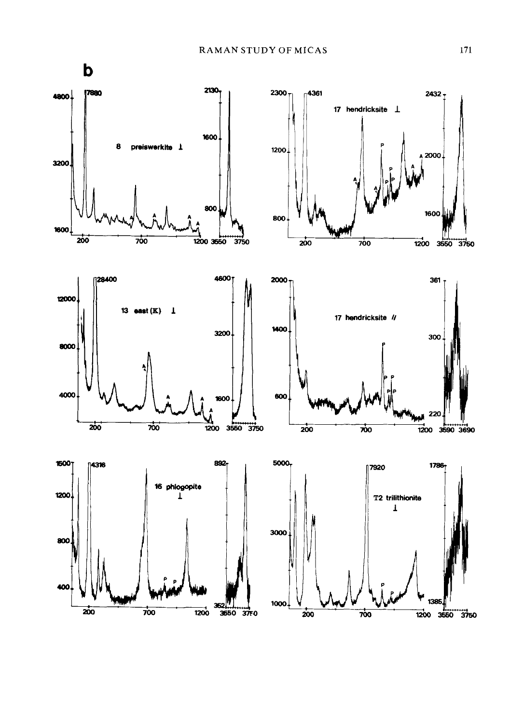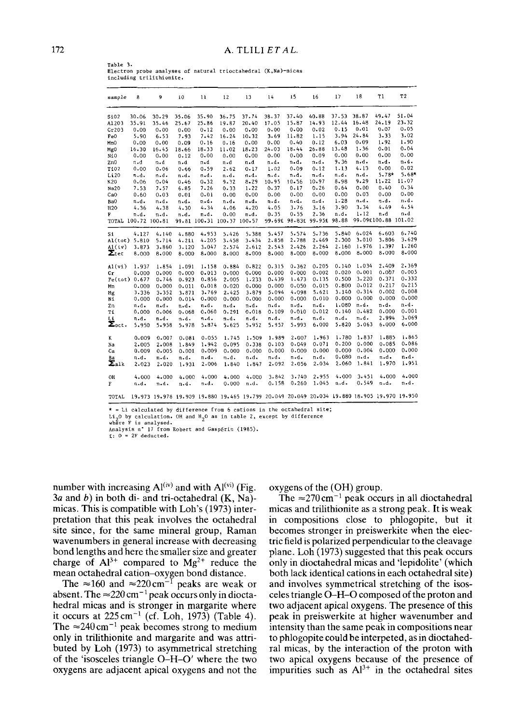**Table** 3. Electron **probe analyses of** natural **trioctahedral** (K,Na)-micas including trilithionite.

| sample                  | 8                   | 9                                                                                          | 10    | $\mathbf{11}$ | 12                         | 13        | 14       | 15        | 16            | 17       | 18       | T1                  | T <sub>2</sub> |
|-------------------------|---------------------|--------------------------------------------------------------------------------------------|-------|---------------|----------------------------|-----------|----------|-----------|---------------|----------|----------|---------------------|----------------|
| Si02                    | 30.06               | $30 - 29$                                                                                  | 35.06 | 35.90         | 36.75                      | 37.74     | 38.37    | 37.40     | 40.88         | 37.53    | 38.87    | 49.47               | 51.04          |
| A1203                   | 35.91               | 35.46                                                                                      | 25.67 | 25.86         | 19.87                      | 20.40     | 17.05    | 15.87     | 14.93         | 12.44    | 16.48    | 24.19               | 23.32          |
| Cr203                   | 0.00                | $0 - 00$                                                                                   | 0.00  | $0 - 12$      | 0.00                       | 0.00      | 0.00     | 0.00      | 0.02          | 0.15     | 0.01     | 0.07                | 0.05           |
| FeO                     | 5.90                | 6.53                                                                                       | 7.93  | 7.42          | $16 - 24$                  | 10.32     | 3.69     | 11.82     | 1.15          | 3.94     | 24.84    | 3.33                | 3.02           |
| MnO                     | 0.00                | 0.00                                                                                       | 0.09  | 0.16          | 0.16                       | $0 - 00$  | 0.00     | 0.40      | $0 - 12$      | 6.03     | 0.09     | 1.92                | 1.90           |
| Mg0                     | 16.30               | 16.45                                                                                      | 18.66 | 18.33         | 11.02                      | 18.23     | 24.03    | 18.44     | 26.88         | 13.48    | 1.36     | 0.01                | 0.04           |
| NiO                     | 0.00                | 0.00                                                                                       | 0.12  | $0 - 00$      | 0.00                       | 0.00      | 0.00     | 0.00      | 0.09          | 0.00     | $0 - 00$ | 0.00                | 0.00           |
| ZnO                     | n.d                 | n.d                                                                                        | n.d   | n.d           | n - d                      | n.d       | n.d.     | n.d.      | n.d.          | 9.36     | n.d.     | n.d.                | n.d.           |
| T102                    | 0.00                | 0.06                                                                                       | 0.66  | 0.59          | 2.62                       | 0.17      | 1.02     | 0.09      | 0.12          | 1.13     | 4.13     | 0.00                | 0.02           |
| Li 20                   | n.d.                | n.d.                                                                                       | n.d.  | n.d.          | n.d.                       | n.d.      | n d.     | n.d.      | n.d.          | n.d.     | n.d.     | $5.78*$             | $5.68*$        |
| K 20                    | 0.06                | 0.04                                                                                       | 0.46  | 0.32          | 9.32                       | 8.29      | 10.95    | 10.56     | 10.97         | 8.98     | 9.29     | 11.22               | 11.07          |
| Na20                    | 7.53                | 7.57                                                                                       | 6.85  | 7.26          | 0.33                       | $1 - 22$  | 0.37     | 0.17      | 0.26          | 0.64     | 0.00     | 0.40                | 0.34           |
| CoO                     | 0.60                | 0.03                                                                                       | 0.01  | 0.01          | 0.00                       | 0.00      | 0.00     | $0 - 00$  | 0.00          | 0.00     | 0.03     | 0.00                | 0.00           |
| Ba0                     | n.d.                | n.d.                                                                                       | n.d.  | n.d.          | n.d.                       | n.d.      | n.d.     | n.d.      | n.d.          | $1 - 28$ | n.d.     | n.d.                | n.d.           |
| H <sub>20</sub>         | 4.36                | 4.38                                                                                       | 4.30  | 4.34          | 4.06                       | 4.20      | $4 - 05$ | 3.76      | 3.16          | 3.90     | 3.34     | 4.49                | 4.54           |
| F                       | n.d.                | n.d.                                                                                       | n.d.  | n.d.          | $0 - 00$                   | n.d.      | $0 - 35$ | 0.55      | 2.36          | n.d.     | $1 - 12$ | n.d                 | n.d            |
|                         | TOTAL 100.72 100.81 |                                                                                            |       |               | 99.81 100.31 100.37 100.57 |           | 99.69£   |           | 98.83£ 99.95£ | 98.88    |          | 99.09£100.88 101.02 |                |
| Si                      | 4.127               | 4.140                                                                                      | 4.880 | 4.953         | 5.426                      | 5.388     | 5.457    | 5.574     | 5.736         | 5.840    | 6.024    | 6.603               | 6.740          |
| Al(tot)                 | 5.810               | 5.714                                                                                      | 4.211 | 4.205         | 3.458                      | 3.434     | 2.858    | 2.788     | 2.469         | 2.300    | 3.010    | 3.806               | 3.629          |
| Al(iv)                  | 3.873               | 3.860                                                                                      | 3.120 | 3.047         | 2.574                      | 2.612     | 2.543    | 2.426     | 2.264         | 2.160    | 1.976    | 1,397               | 1,260          |
| $\Sigma$ tet            | 8.000               | 8,000                                                                                      | 8.000 | 8.000         | 8,000                      | 8.000     | 8.000    | 8.000     | 8,000         | 8.000    | 8.000    | 8,000               | 8.000          |
| Al (vi)                 | 1.937               | 1.854                                                                                      | 1.091 | 1.158         | 0.884                      | 0.822     | 0.315    | $0 - 362$ | 0.205         | 0.140    | 1.034    | 2.409               | 2,369          |
| Cr                      | 0.000               | 0.000                                                                                      | 0.000 | 0.013         | 0.000                      | 0.000     | 0.000    | $0 - 000$ | 0.002         | 0.020    | 0.001    | 0.007               | 0.005          |
| Fe(tot)                 | 0.677               | 0.746                                                                                      | 0.923 | 0.856         | 2.005                      | 1.233     | 0.439    | 1-473     | 0.135         | 0.500    | 3.220    | 0.371               | 0.332          |
| Mn                      | 0.000               | 0.000                                                                                      | 0.011 | 0.018         | 0.020                      | $0 - 000$ | 0.000    | 0.050     | 0.015         | 0.800    | 0.012    | 0.217               | 0.215          |
| Мg                      | 3.336               | 3.352                                                                                      | 3.871 | 3.769         | 2.425                      | 3.879     | 5.094    | 4.098     | 5.621         | 3.140    | 0.314    | 0.002               | 0.008          |
| Ní                      | 0.000               | 0.000                                                                                      | 0.014 | 0.000         | 0.000                      | 0.000     | 0.000    | 0.000     | 0.010         | 0.000    | 0.000    | 0.000               | 0.000          |
| Zn                      | n.d.                | n.d.                                                                                       | n.d.  | n.d.          | n.d.                       | n.d.      | n.d.     | n.d.      | n.d.          | 1,080    | n.d.     | n.d.                | n.d.           |
| Тí                      | 0.000               | $0 - 006$                                                                                  | 0.068 | 0.060         | 0.291                      | 0.018     | 0.109    | $0 - 010$ | 0.012         | 0.140    | 0.482    | 0.000               | 0.001          |
| Li                      | n.d.                | n.d.                                                                                       | n.d.  | n.d.          | n.d.                       | n.d.      | n.d.     | n.d.      | n.d.          | n.d.     | n.d.     | 2.994               | 3,069          |
| $\Sigma_{\text{oct}}$ . | 5.950               | 5.958                                                                                      | 5.978 | 5.874         | 5.625                      | 5.952     | 5.957    | 5.993     | 6.000         | 5.820    | 5,063    | 6,000               | 6.000          |
| K                       | 0.009               | 0.007                                                                                      | 0.081 | 0.055         | 1.745                      | 1.509     | 1.989    | $2 - 007$ | 1.963         | 1.780    | 1.837    | 1.885               | 1.865          |
| Na                      | 2.005               | 2,008                                                                                      | 1.849 | 1.942         | 0.095                      | 0.338     | 0.103    | 0.049     | 0.071         | 0.200    | 0.000    | 0.085               | 0.086          |
| Сa                      | 0.009               | 0.005                                                                                      | 0.001 | 0.009         | 0.000                      | 0.000     | 0.000    | $0 - 000$ | 0.000         | 0.000    | 0.004    | 0.000               | 0.000          |
| Ba                      | n.d.                | n.d.                                                                                       | n.d.  | n.d.          | n.d.                       | n.d.      | n.d.     | n.d.      | n.d.          | 0.080    | n.d.     | n.d.                | n.d.           |
| $\Sigma$ alk            | 2.023               | 2.020                                                                                      | 1.931 | 2.006         | 1.840                      | 1.847     | 2.092    | 2.056     | 2.034         | 2.060    | 1,841    | 1,970               | 1.951          |
| OH                      | 4,000               | 4,000                                                                                      | 4.000 | 4,000         | 4.000                      | 4.000     | 3.842    | 3.740     | 2,955         | 4.000    | 3.451    | 4.000               | 4.000          |
| F                       | n.d.                | n.d.                                                                                       | n.d.  | n.d.          | 0.000                      | n.d.      | 0.158    | 0.260     | 1.045         | n.d.     | 0.549    | n.d.                | n.d.           |
| TOTAL                   |                     | 19.973 19.978 19.909 19.880 19.465 19.799 20.049 20.049 20.034 19.880 18.905 19.970 19.950 |       |               |                            |           |          |           |               |          |          |                     |                |

\* = Li calculated by difference from 6 cations in the octahedral site;<br>Li<sub>2</sub>O by calculation. OH and H<sub>2</sub>O as in table 2, except by difference<br>where F is analysed.<br>Analysis n° 17 from Robert and Gaspérin (1985).

 $\epsilon$ :  $0 = 2F$  deducted.

number with increasing  $Al<sup>(iv)</sup>$  and with  $Al<sup>(vi)</sup>$  (Fig. **3a and b) in both di- and tri-octahedral (K, Na) micas. This is compatible with Loh's (1973) interpretation that this peak involves the octahedral site since, for the same mineral group, Raman wavenumbers in general increase with decreasing bond lengths and here the smaller size and greater**  charge of  $Al^{3+}$  compared to  $Mg^{2+}$  reduce the **mean octahedral cation-oxygen bond distance.** 

The  $\approx 160$  and  $\approx 220 \text{ cm}^{-1}$  peaks are weak or absent. The  $\approx$  220 cm<sup>-1</sup> peak occurs only in diocta**hedral micas and is stronger in margarite where it occurs at 225cm -1 (cf. Loh, 1973) (Table 4).**  The  $\approx 240 \text{ cm}^{-1}$  peak becomes strong to medium **only in trilithionite and margarite and was attributed by Loh (1973) to asymmetrical stretching of the 'isosceles triangle O-H-O' where the two oxygens are adjacent apical oxygens and not the**  **oxygens of the (OH) group** 

The  $\approx$ 270 cm<sup>-1</sup> peak occurs in all dioctahedral **micas and trilithionite as a strong peak. It is weak in compositions close to phlogopite, but it becomes stronger in preiswerkite when the electric field is polarized perpendicular to the cleavage plane. Loh (1973) suggested that this peak occurs only in dioctahedral micas and 'lepidolite' (which both lack identical cations in each octahedral site) and involves symmetrical stretching of the isosceles triangle O-H-O composed of the proton and two adjacent apical oxygens The presence of this peak in preiswerkite at higher wavenumber and intensity than the same peak in compositions near to phlogopite could be interpeted, as in dioctahedral micas, by the interaction of the proton with two apical oxygens because of the presence of impurities such as A13+ in the octahedral sites**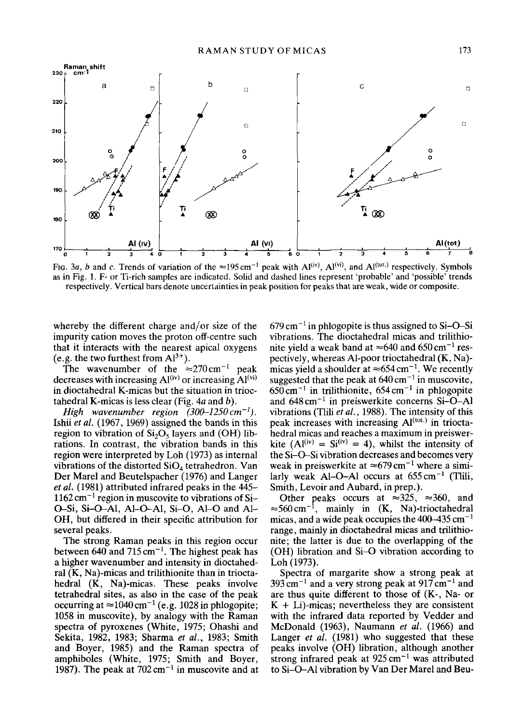



FIG. 3a, b and c. Trends of variation of the  $\approx$ 195 cm<sup>-1</sup> peak with Al<sup>(iv)</sup>, Al<sup>(vi)</sup>, and Al<sup>(tot.)</sup> respectively. Symbols as in Fig. 1. F- or Ti-rich samples are indicated. Solid and dashed lines represent 'probable' and 'possible' trends respectively. Vertical bars denote uncertainties in peak position for peaks that are weak, wide or composite.

whereby the different charge and/or size of the impurity cation moves the proton off-centre such that it interacts with the nearest apical oxygens (e.g. the two furthest from  $Al^{3+}$ ).

The wavenumber of the  $\approx 270 \text{ cm}^{-1}$  peak decreases with increasing  $Al<sup>(iv)</sup>$  or increasing  $Al<sup>(vi)</sup>$ in dioctahedral K-micas but the situation in trioctahedral K-micas is less clear (Fig.  $4a$  and b).

*High wavenumber region (300-1250cm-1).*  Ishii *et aL* (1967, 1969) assigned the bands in this region to vibration of  $Si<sub>2</sub>O<sub>5</sub>$  layers and (OH) librations. In contrast, the vibration bands in this region were interpreted by Loh (1973) as internal vibrations of the distorted  $SiO<sub>4</sub>$  tetrahedron. Van Der Marel and Beutelspacher (1976) and Langer *et al.* (1981) attributed infrared peaks in the 445-  $1162 \text{ cm}^{-1}$  region in muscovite to vibrations of Si-O-Si, Si-O-Al, Al-O-Al, Si-O, Al-O and Al-OH, but differed in their specific attribution for several peaks.

The strong Raman peaks in this region occur between 640 and 715 cm<sup> $-1$ </sup>. The highest peak has a higher wavenumber and intensity in dioctahedral (K, Na)-micas and trilithionite than in trioctahedral (K, Na)-micas. These peaks involve tetrahedral sites, as also in the case of the peak occurring at  $\approx 1040 \text{ cm}^{-1}$  (e.g. 1028 in phlogopite; 1058 in muscovite), by analogy with the Raman spectra of pyroxenes (White, 1975; Ohashi and Sekita, 1982, 1983; Sharma *et al.,* 1983; Smith and Boyer, 1985) and the Raman spectra of amphiboles (White, 1975; Smith and Boyer, 1987). The peak at  $702 \text{ cm}^{-1}$  in muscovite and at  $679 \text{ cm}^{-1}$  in phlogopite is thus assigned to Si-O-Si vibrations. The dioctahedral micas and trilithionite yield a weak band at  $\approx 640$  and 650 cm<sup>-1</sup> respectively, whereas Al-poor trioctahedral (K, Na) micas yield a shoulder at  $\approx 654 \,\mathrm{cm}^{-1}$ . We recently suggested that the peak at  $640 \text{ cm}^{-1}$  in muscovite,  $650 \text{ cm}^{-1}$  in trilithionite,  $654 \text{ cm}^{-1}$  in phlogopite and  $648 \text{ cm}^{-1}$  in preiswerkite concerns Si-O-Al vibrations (Tlili *et al.,* 1988). The intensity of this peak increases with increasing  $Al<sup>(tot.)</sup>$  in trioctahedral micas and reaches a maximum in preiswerkite (Al<sup>(iv)</sup> = Si<sup>(iv)</sup> = 4), whilst the intensity of the Si-O-Si vibration decreases and becomes very weak in preiswerkite at  $\approx 679 \text{ cm}^{-1}$  where a similarly weak Al-O-Al occurs at  $655 \text{ cm}^{-1}$  (Tilii, Smith, Levoir and Aubard, in prep.).

Other peaks occurs at  $\approx 325$ ,  $\approx 360$ , and  $\approx$ 560 cm<sup>-1</sup>, mainly in (K, Na)-trioctahedral micas, and a wide peak occupies the  $400-435$  cm<sup>-1</sup> range, mainly in dioctahedral micas and trilithionite; the latter is due to the overlapping of the (OH) libration and Si-O vibration according to Loh (1973).

Spectra of margarite show a strong peak at  $393 \text{ cm}^{-1}$  and a very strong peak at  $917 \text{ cm}^{-1}$  and are thus quite different to those of (K-, Na- or  $K + Li$ )-micas; nevertheless they are consistent with the infrared data reported by Vedder and McDonald (1963), Naumann *et al.* (1966) and Langer *et al.* (1981) who suggested that these peaks involve (OH) libration, although another strong infrared peak at  $925 \text{ cm}^{-1}$  was attributed to Si-O-A1 vibration by Van Der Marel and Beu-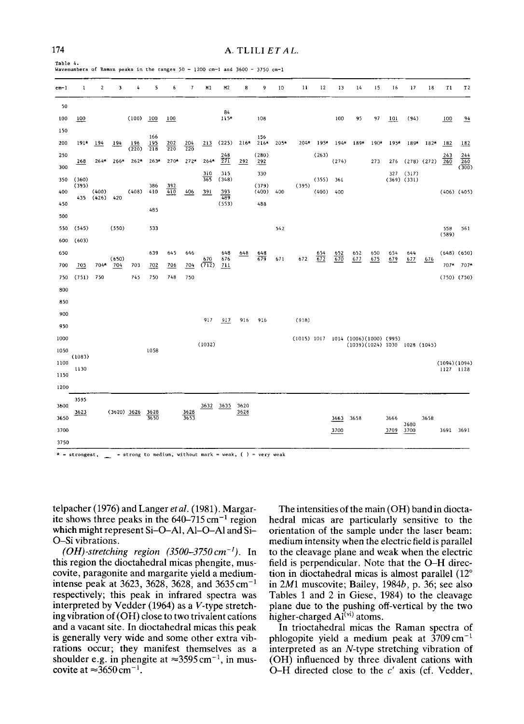**Table** 4. **Wavenumbers of Raman peaks in the ranges** 50 - 1200 cm-I and 3600 - 3750 cm-i

| $cm-1$     | 1      | $\overline{\mathbf{2}}$ | 3             | 4            | 5                      | 6                 | $\overline{7}$    | M1           | M <sub>2</sub>          | 8            | 9              | 10   | 11          | 12     | 13    | 14                            | 15     | 16   | 17                       | 18              | T1           | T <sub>2</sub>      |
|------------|--------|-------------------------|---------------|--------------|------------------------|-------------------|-------------------|--------------|-------------------------|--------------|----------------|------|-------------|--------|-------|-------------------------------|--------|------|--------------------------|-----------------|--------------|---------------------|
| 50         |        |                         |               |              |                        |                   |                   |              | 84                      |              |                |      |             |        |       |                               |        |      |                          |                 |              |                     |
| 100        | 100    |                         |               | (100)        | 100                    | 100               |                   |              | $115*$                  |              | 108            |      |             |        | 100   | 95                            | 97     | 101  | (94)                     |                 | 100          | 94                  |
| 150        |        |                         |               |              | 166                    |                   |                   |              |                         |              | 156            |      |             |        |       |                               |        |      |                          |                 |              |                     |
| 200        | $191*$ | 194                     | 194           | 196<br>(220) | 195<br>$\frac{1}{218}$ | $\frac{202}{220}$ | $\frac{204}{220}$ | 213          | (225)                   | $216*$       | $216*$         | 205* | $204*$      | $195*$ |       | 194* 189*                     | $190*$ | 195* | 189*                     | $182*$          | 182          | 182                 |
| 250<br>300 | 268    | $264*$                  | 266*          | $262*$       | $263*$                 | $270*$            | $272*$            | $264*$       | 248<br>$\overline{271}$ | 292          | (280)<br>292   |      |             | (263)  | (274) |                               | 273    | 276  |                          | $(278)$ $(272)$ | 243<br>260   | 244<br>260<br>(300) |
| 350        | (360)  |                         |               |              |                        |                   |                   | 310<br>365   | 315<br>(348)            |              | 330            |      |             | (355)  | 361   |                               |        | 327  | (317)<br>$(369)$ $(331)$ |                 |              |                     |
| 400        | (395)  | (400)                   |               | (408)        | 386<br>410             | 392<br>410        | 406               | 391          | 393                     |              | (379)<br>(400) | 400  | (395)       | (400)  | 400   |                               |        |      |                          |                 |              | $(406)$ $(405)$     |
| 450        | 435    | (426)                   | 420           |              |                        |                   |                   |              | 489<br>(553)            |              | 488            |      |             |        |       |                               |        |      |                          |                 |              |                     |
| 500        |        |                         |               |              | 485                    |                   |                   |              |                         |              |                |      |             |        |       |                               |        |      |                          |                 |              |                     |
| 550        | (545)  |                         | (550)         |              | 533                    |                   |                   |              |                         |              |                | 542  |             |        |       |                               |        |      |                          |                 | 558          | 561                 |
| 600        | (603)  |                         |               |              |                        |                   |                   |              |                         |              |                |      |             |        |       |                               |        |      |                          |                 | (589)        |                     |
| 650        |        |                         |               |              | 639                    | 645               | 646               |              | 648                     | 648          | 648            |      |             | 654    | 652   | 652                           | 650    | 654  | 644                      |                 |              | $(648)$ $(650)$     |
| 700        | 705    | 704*                    | (650)<br>704  | 703          | 702                    | 706               | 704               | 670<br>(712) | 676<br>711              |              | 679            | 671  | 672         | 672    | 670   | 677                           | 675    | 679  | 677                      | 676             | $707*$       | $707*$              |
| 750        | (751)  | 750                     |               | 745          | 750                    | 748               | 750               |              |                         |              |                |      |             |        |       |                               |        |      |                          |                 |              | $(750)$ $(750)$     |
| 800        |        |                         |               |              |                        |                   |                   |              |                         |              |                |      |             |        |       |                               |        |      |                          |                 |              |                     |
| 850        |        |                         |               |              |                        |                   |                   |              |                         |              |                |      |             |        |       |                               |        |      |                          |                 |              |                     |
| 900        |        |                         |               |              |                        |                   |                   |              |                         |              |                |      |             |        |       |                               |        |      |                          |                 |              |                     |
| 950        |        |                         |               |              |                        |                   |                   | 917          | 917                     | 916          | 916            |      | (918)       |        |       |                               |        |      |                          |                 |              |                     |
| 1000       |        |                         |               |              |                        |                   |                   |              |                         |              |                |      | (1015) 1017 |        |       | 1014 (1006) (1000) (995)      |        |      |                          |                 |              |                     |
| 1050       |        |                         |               |              | 1058                   |                   |                   | (1032)       |                         |              |                |      |             |        |       | (1039)(1024) 1030 1028 (1045) |        |      |                          |                 |              |                     |
| 1100       | (1083) |                         |               |              |                        |                   |                   |              |                         |              |                |      |             |        |       |                               |        |      |                          |                 | (1094)(1094) |                     |
| 1150       | 1130   |                         |               |              |                        |                   |                   |              |                         |              |                |      |             |        |       |                               |        |      |                          |                 | 1127 1128    |                     |
| 1200       |        |                         |               |              |                        |                   |                   |              |                         |              |                |      |             |        |       |                               |        |      |                          |                 |              |                     |
|            | 3595   |                         |               |              |                        |                   |                   |              |                         |              |                |      |             |        |       |                               |        |      |                          |                 |              |                     |
| 3600       | 3623   |                         | $(3620)$ 3626 |              | 3628                   |                   | 3628              | 3632         | 3635                    | 3620<br>3628 |                |      |             |        |       |                               |        |      |                          |                 |              |                     |
| 3650       |        |                         |               |              | 3650                   |                   | 3653              |              |                         |              |                |      |             |        | 3663  | 3658                          |        | 3666 | 3680                     | 3658            |              |                     |
| 3700       |        |                         |               |              |                        |                   |                   |              |                         |              |                |      |             |        | 3700  |                               |        | 3709 | 3700                     |                 | 3691 3691    |                     |
| 3750       |        |                         |               |              |                        |                   |                   |              |                         |              |                |      |             |        |       |                               |        |      |                          |                 |              |                     |

**\* = strongest,** = strong to medium, without mark = weak, ( ) = **very weak** 

**telpacher (1976) and Langer** *et al. (1981).* **Margarite shows three peaks in the 640-715 cm -1 region which might represent Si-O-AI, A1-O-A1 and Si-O-Si vibrations.** 

*(OH)-stretehing region (3500-3750cm-1).* **In this region the dioctahedral micas phengite, muscovite, paragonite and margarite yield a mediumintense peak at 3623, 3628, 3628, and 3635 cm -1 respectively; this peak in infrared spectra was interpreted by Vedder (1964) as a V-type stretching vibration of (OH) close to two trivalent cations and a vacant site. In dioctahedral micas this peak is generally very wide and some other extra vibrations occur; they manifest themselves as a**  shoulder e.g. in phengite at  $\approx 3595 \,\text{cm}^{-1}$ , in muscovite at  $\approx 3650 \text{ cm}^{-1}$ .

**The intensities of the main (OH) band in dioctahedral micas are particularly sensitive to the orientation of the sample under the laser beam: medium intensity when the electric field is parallel to the cleavage plane and weak when the electric field is perpendicular. Note that the O-H direc**tion in dioctahedral micas is almost parallel (12<sup>°</sup> **in 2M1 muscovite; Bailey, 1984b, p. 36; see also Tables 1 and 2 in Giese, 1984) to the cleavage plane due to the pushing off-vertical by the two**   $h$ igher-charged  $A^{(vi)}$  atoms.

**In trioctahedral micas the Raman spectra of**  phlogopite yield a medium peak at  $3709 \text{ cm}^{-1}$ **interpreted as an N-type stretching vibration of (OH) influenced by three divalent cations with O-H directed close to the c' axis (cf. Vedder,**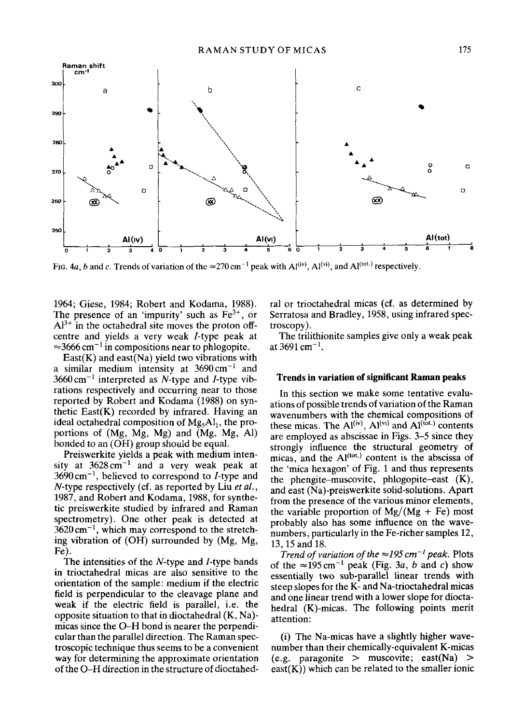

FIG. 4a, b and c. Trends of variation of the  $\approx$ 270 cm<sup>-1</sup> peak with Al<sup>(iv)</sup>, Al<sup>(vi)</sup>, and Al<sup>(tot.)</sup> respectively.

1964; Giese, 1984; Robert and Kodama, 1988). The presence of an 'impurity' such as  $Fe<sup>3+</sup>$ , or  $Al^{3+}$  in the octahedral site moves the proton offcentre and yields a very weak /-type peak at  $\approx$ 3666 cm<sup>-1</sup> in compositions near to phlogopite.

 $East(K)$  and east(Na) yield two vibrations with a similar medium intensity at  $3690 \text{ cm}^{-1}$  and  $3660 \text{ cm}^{-1}$  interpreted as N-type and I-type vibrations respectively and occurring near to those reported by Robert and Kodama (1988) on synthetic  $East(K)$  recorded by infrared. Having an ideal octahedral composition of  $Mg<sub>5</sub>Al<sub>1</sub>$ , the proportions of (Mg, Mg, Mg) and (Mg, Mg, AI) bonded to an (OH) group should be equal.

Preiswerkite yields a peak with medium intensity at  $3628 \text{ cm}^{-1}$  and a very weak peak at  $3690 \text{ cm}^{-1}$ , believed to correspond to *I*-type and N-type respectively (cf. as reported by Liu *et al.,*  1987, and Robert and Kodama, 1988, for synthetic preiswerkite studied by infrared and Raman spectrometry). One other peak is detected at  $3620 \text{ cm}^{-1}$ , which may correspond to the stretching vibration of (OH) surrounded by (Mg, Mg, Fe).

The intensities of the N-type and I-type bands in trioctahedral micas are also sensitive to the orientation of the sample: medium if the electric field is perpendicular to the cleavage plane and weak if the electric field is parallel, i.e. the opposite situation to that in dioctahedral (K, Na) micas since the O-H bond is nearer the perpendicular than the parallel direction. The Raman spectroscopic technique thus seems to be a convenient way for determining the approximate orientation of the O-H direction in the structure of dioctahedral or trioctahedral micas (cf. as determined by Serratosa and Bradley, 1958, using infrared spectroscopy).

The trilithionite samples give only a weak peak at  $3691$  cm<sup>-1</sup>.

## **Trends in variation of significant Raman peaks**

In this section we make some tentative evaluations of possible trends of variation of the Raman wavenumbers with the chemical compositions of these micas. The  $Al<sup>(iv)</sup>$ ,  $Al<sup>(vi)</sup>$  and  $Al<sup>(tot.)</sup>$  contents are employed as abscissae in Figs. 3-5 since they strongly influence the structural geometry of micas, and the  $Al<sup>(tot.)</sup>$  content is the abscissa of the 'mica hexagon' of Fig. 1 and thus represents the phengite-muscovite, phlogopite-east (K), and east (Na)-preiswerkite solid-solutions. Apart from the presence of the various minor elements, the variable proportion of  $Mg/(Mg + Fe)$  most probably also has some influence on the wavenumbers, particularly in the Fe-richer samples 12, 13, 15 and 18.

*Trend of variation of the*  $\approx$  195 cm<sup>-1</sup> peak. Plots of the  $\approx$ 195 cm<sup>-1</sup> peak (Fig. 3a, b and c) show essentially two sub-parallel linear trends with steep slopes for the K- and Na-trioctahedral micas and one linear trend with a lower slope for dioctahedral (K)-micas. The following points merit attention:

(i) The Na-micas have a slightly higher wavenumber than their chemically-equivalent K-micas (e.g. paragonite > muscovite; east(Na) >  $\text{east}(K)$ ) which can be related to the smaller ionic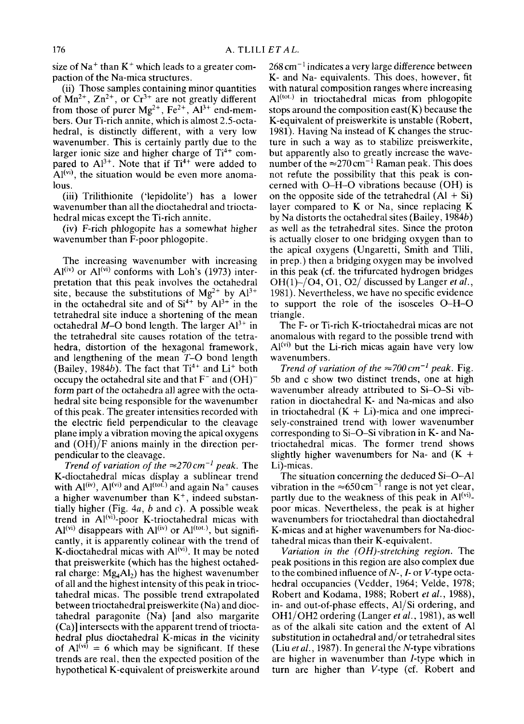size of Na<sup>+</sup> than  $K^+$  which leads to a greater compaction of the Na-mica structures.

(ii) Those samples containing minor quantities of  $Mn^{2+}$ ,  $Zn^{2+}$ , or  $Cr^{3+}$  are not greatly different from those of purer  $Mg^{2+}$ ,  $Fe^{2+}$ ,  $Al^{3+}$  end-members. Our Ti-rich annite, which is almost 2.5-octahedral, is distinctly different, with a very low wavenumber. This is certainly partly due to the larger ionic size and higher charge of  $Ti<sup>4+</sup>$  compared to  $Al^{3+}$ . Note that if  $Ti^{4+}$  were added to  $A<sup>(vi)</sup>$ , the situation would be even more anomalous.

(iii) Trilithionite ('lepidolite') has a lower wavenumber than all the dioctahedral and trioctahedral micas except the Ti-rich annite.

(iv) F-rich phlogopite has a somewhat higher wavenumber than F-poor phlogopite.

The increasing wavenumber with increasing  $Al<sup>(iv)</sup>$  or  $Al<sup>(vi)</sup>$  conforms with Loh's (1973) interpretation that this peak involves the octahedral site, because the substitutions of  $Mg^{2+}$  by  $Al^{3+}$ in the octahedral site and of  $Si<sup>4+</sup>$  by  $Al<sup>3+</sup>$  in the tetrahedral site induce a shortening of the mean octahedral M-O bond length. The larger  $Al^{3+}$  in the tetrahedral site causes rotation of the tetrahedra, distortion of the hexagonal framework, and lengthening of the mean  $T-O$  bond length (Bailey, 1984b). The fact that  $Ti^{4+}$  and  $Li^{+}$  both occupy the octahedral site and that  $F^-$  and  $(OH)^$ form part of the octahedra all agree with the octahedral site being responsible for the wavenumber of this peak. The greater intensities recorded with the electric field perpendicular to the cleavage plane imply a vibration moving the apical oxygens and (OH)/F anions mainly in the direction perpendicular to the cleavage.

*Trend of variation of the*  $\approx$  270 cm<sup>-1</sup> peak. The K-dioctahedral micas display a sublinear trend with  $Al<sup>(iv)</sup>$ ,  $Al<sup>(vi)</sup>$  and  $Al<sup>(tot.)</sup>$  and again Na<sup>+</sup> causes a higher wavenumber than  $K^+$ , indeed substantially higher (Fig. 4*a*, *b* and *c*). A possible weak trend in Al<sup>(vi)</sup>-poor K-trioctahedral micas with  $Al<sup>(vi)</sup> disappears with Al<sup>(iv)</sup> or Al<sup>(tot.)</sup>, but signifi$ cantly, it is apparently colinear with the trend of K-dioctahedral micas with  $Al<sup>(vi)</sup>$ . It may be noted that preiswerkite (which has the highest octahedral charge:  $Mg_4Al_2$ ) has the highest wavenumber of all and the highest intensity of this peak in trioctahedral micas. The possible trend extrapolated between trioctahedral preiswerkite (Na) and dioctahedral paragonite (Na) [and also margarite (Ca)] intersects with the apparent trend of trioctahedral plus dioctahedral K-micas in the vicinity of  $Al<sup>(vi)</sup> = 6$  which may be significant. If these trends are real, then the expected position of the hypothetical K-equivalent of preiswerkite around  $268 \text{ cm}^{-1}$  indicates a very large difference between K- and Na- equivalents. This does, however, fit with natural composition ranges where increasing  $Al<sup>(tot.)</sup>$  in trioctahedral micas from phlogopite stops around the composition east $(K)$  because the K-equivalent of preiswerkite is unstable (Robert, 1981). Having Na instead of K changes the structure in such a way as to stabilize preiswerkite, but apparently also to greatly increase the wavenumber of the  $\approx 270 \text{ cm}^{-1}$  Raman peak. This does not refute the possibility that this peak is concerned with O-H-O vibrations because (OH) is on the opposite side of the tetrahedral  $(Al + Si)$ layer compared to K or Na, since replacing K by Na distorts the octahedral sites (Bailey, 1984b) as well as the tetrahedral sites. Since the proton is actually closer to one bridging oxygen than to the apical oxygens (Ungaretti, Smith and Tlili, in prep.) then a bridging oxygen may be involved in this peak (cf. the trifurcated hydrogen bridges OH(1)-/O4, O1, 02/discussed by Langer *et al.,*  1981). Nevertheless, we have no specific evidence to support the role of the isosceles O-H-O triangle.

The F- or Ti-rich K-trioctahedral micas are not anomalous with regard to the possible trend with  $Al<sup>(vi)</sup>$  but the Li-rich micas again have very low wavenumbers.

*Trend of variation of the*  $\approx 700 \text{ cm}^{-1}$  *peak.* Fig. 5b and c show two distinct trends, one at high wavenumber already attributed to Si-O-Si vibration in dioctahedral K- and Na-micas and also in trioctahedral  $(K + Li)$ -mica and one imprecisely-constrained trend with lower wavenumber corresponding to Si-O-Si vibration in K- and Natrioctahedral micas. The former trend shows slightly higher wavenumbers for Na- and  $(K +$ Li)-micas.

The situation concerning the deduced Si-O-Al vibration in the  $\approx 650 \text{ cm}^{-1}$  range is not yet clear, partly due to the weakness of this peak in  $Al^{(vi)}$ poor micas. Nevertheless, the peak is at higher wavenumbers for trioctahedral than dioctahedral K-micas and at higher wavenumbers for Na-dioctahedral micas than their K-equivalent.

*Variation in the (OH)-stretching region.* The peak positions in this region are also complex due to the combined influence of  $N<sub>-</sub>$ ,  $I<sub>-</sub>$  or  $V<sub>-</sub>$  type octahedral occupancies (Vedder, 1964; Velde, 1978; Robert and Kodama, 1988; Robert *et al.,* 1988), in- and out-of-phase effects, A1/Si ordering, and OH1/OH2 ordering (Langer *et al.,* 1981), as well as of the alkali site cation and the extent of A1 substitution in octahedral and/or tetrahedral sites (Liu *et al.,* 1987). In general the N-type vibrations are higher in wavenumber than *I*-type which in turn are higher than V-type (cf. Robert and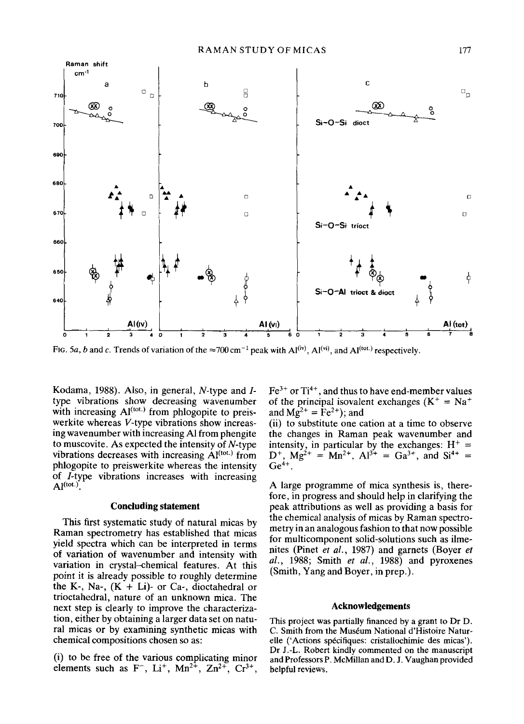

FIG. 5a, b and c. Trends of variation of the  $\approx$ 700 cm<sup>-1</sup> peak with Al<sup>(iv)</sup>, Al<sup>(iv)</sup>, and Al<sup>(iot.)</sup> respectively.

Kodama, 1988). Also, in general, N-type and Itype vibrations show decreasing wavenumber with increasing  $AI<sup>(tot.)</sup>$  from phlogopite to preiswerkite whereas V-type vibrations show increasing wavenumber with increasing A1 from phengite to muscovite. As expected the intensity of  $N$ -type vibrations decreases with increasing  $\mathbf{A}^{(tot.)}$  from phlogopite to preiswerkite whereas the intensity of /-type vibrations increases with increasing  $Al^{(tot.)}$ .

#### **Concluding statement**

This first systematic study of natural micas by Raman spectrometry has established that micas yield spectra which can be interpreted in terms of variation of wavenumber and intensity with variation in crystal-chemical features. At this point it is already possible to roughly determine the K-, Na-,  $(K + Li)$ - or Ca-, dioctahedral or trioctahedral, nature of an unknown mica. The next step is clearly to improve the characterization, either by obtaining a larger data set on natural micas or by examining synthetic micas with chemical compositions chosen so as:

(i) to be free of the various complicating minor elements such as  $F^-$ , Li<sup>+</sup>, Mn<sup>2+</sup>, Zn<sup>2+</sup>, Cr<sup>3+</sup>,  $Fe<sup>3+</sup>$  or Ti<sup>4+</sup>, and thus to have end-member values of the principal isovalent exchanges  $(K^+ = Na^+$ and  $Mg^{2+} = \text{Fe}^{2+}$ ); and

(ii) to substitute one cation at a time to observe the changes in Raman peak wavenumber and intensity, in particular by the exchanges:  $H^+$  =  $D^+$ ,  $Mg^{2+} = Mn^{2+}$ ,  $Al^{3+} = Ga^{3+}$ , and  $Si^{4+} =$  $Ge^{4+}$ .

A large programme of mica synthesis is, therefore, in progress and should help in clarifying the peak attributions as well as providing a basis for the chemical analysis of micas by Raman spectrometry in an analogous fashion to that now possible for multicomponent solid-solutions such as ilmenites (Pinet *et al.,* 1987) and garnets (Boyer *et al.,* 1988; Smith *et al.,* 1988) and pyroxenes (Smith, Yang and Boyer, in prep.).

# **Acknowledgements**

This project was partially financed by a grant to Dr D. C. Smith from the Muséum National d'Histoire Naturelle ('Actions spécifiques: cristallochimie des micas'). Dr J.-L. Robert kindly commented on the manuscript and Professors P. McMillan and D. J. Vaughan provided helpful reviews.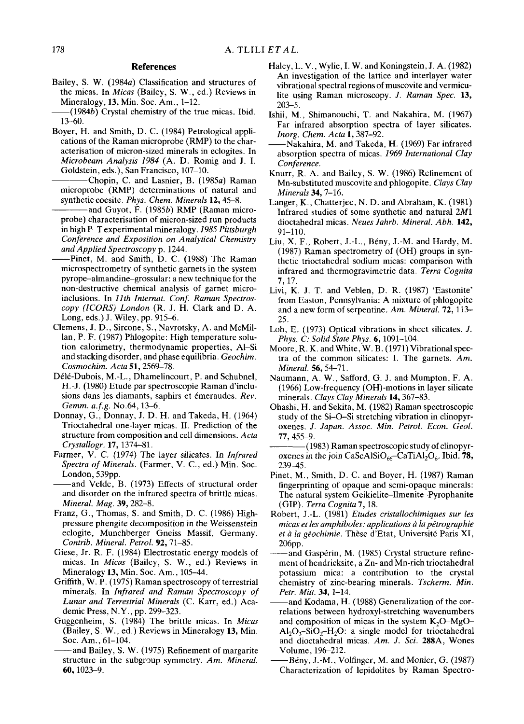#### **References**

- Bailey, S. W. (1984a) Classification and structures of the micas. In *Micas* (Bailey, S. W., ed.) Reviews in Mineralogy, 13, Min. Soc. Am., 1-12.
- $-$ (1984b) Crystal chemistry of the true micas. Ibid. 13-60.
- Boyer, H. and Smith, D. C. (1984) Petrological applications of the Raman microprobe (RMP) to the characterisation of micron-sized minerals in eclogites. In *Microbeam Analysis 1984* (A. D. Romig and J. I. Goldstein, eds.), San Francisco, 107-10.
- Chopin, C. and Lasnier, B. (1985a) Raman microprobe (RMP) determinations of natural and synthetic coesite. *Phys. Chem. Minerals* 12, 45-8.
- and Guyot, F. (1985b) RMP (Raman microprobe) characterisation of micron-sized run products in high P-T experimental mineralogy. *1985 Pittsburgh Conference and Exposition on Analytical Chemistry and Applied Spectroscopy* p. 1244.
- --Pinet, M. and Smith, D. C. (1988) The Raman microspectrometry of synthetic garnets in the system pyrope-almandine-grossular: a new technique for the non-destructive chemical analysis of garnet microinclusions. In *11th Internat. Conf. Raman Spectroscopy (1CORS) London* (R. J. H. Clark and D. A. Long, eds.) J. Wiley, pp. 915-6.
- Clemens, J. D., Sircone, S., Navrotsky, A. and McMillan, P. F. (1987) Phlogopite: High temperature solution calorimetry, thermodynamic properties, AI-Si and stacking disorder, and phase equilibria. *Geochim. Cosmochim. Acta* 51, 2569-78.
- D616-Dubois, M.-L., Dhamelincourt, P. and Schubnel, H.-J. (1980) Etude par spectroscopie Raman d'inclusions dans les diamants, saphirs et 6meraudes. *Rev. Gemm. a.f.g.* No.64, 13-6.
- Donnay, G., Donnay, J. D. H. and Takeda, H. (1964) Trioctahedral one-layer micas. II. Prediction of the structure from composition and cell dimensions. *Acta Crystallogr.* 17, 1374--81.
- Farmer, V. C. (1974) The layer silicates. In *Infrared Spectra of Minerals.* (Farmer, V. C., ed.) Min. Soc. London, 539pp.
- -and Velde, B. (1973) Effects of structural order and disorder on the infrared spectra of brittle micas. *Mineral. Mag.* 39,282-8.
- Franz, G., Thomas, S. and Smith, D. C. (1986) Highpressure phengite decomposition in the Weissenstein eclogite, Munchberger Gneiss Massif, Germany. *Contrib. Mineral. Petrol.* 92, 71-85.
- Giese, Jr. R. F. (1984) Electrostatic energy models of micas. In *Micas* (Bailey, S. W., ed.) Reviews in Mineralogy 13, Min. Soc. Am., 105-44.
- Griffith, W. P. (1975) Raman spectroscopy of terrestrial minerals. In *Infrared and Raman Spectroscopy of Lunar and Terrestrial Minerals* (C. Karr, ed.) Academic Press, N.Y., pp. 299-323.
- Guggenheim, S. (1984) The brittle micas. In *Micas*  (Bailey, S. W., ed.) Reviews in Mineralogy 13, Min. Soc. Am., 61-104.
- and Bailey, S. W. (1975) Refinement of margarite structure in the subgroup symmetry. *Am. Mineral*  60, 1023-9.
- Haley, L. V., Wylie, I. W. and Koningstein, J. A. (1982) An investigation of the lattice and interlayer water vibrational spectral regions of muscovite and vermiculite using Raman microscopy. *J. Raman Spec.* 13, 203-5.
- Ishii, M., Shimanouchi, T. and Nakahira, M. (1967) Far infrared absorption spectra of layer silicates. *Inorg. Chem. Acta* 1,387-92.
- -Nakahira, M. and Takeda, H. (1969) Far infrared absorption spectra of micas. *1969 International Clay Conference.*
- Knurr, R. A. and Bailey, S. W. (1986) Refinement of Mn-substituted muscovite and phlogopite. *Clays Clay Minerals 34,* 7-16.
- Langer, K., Chatterjee, N. D. and Abraham, K. (1981) Infrared studies of some synthetic and natural 2M1 dioctahedral micas. *Neues Jahrb. Mineral. Abh.* 142, 91-110.
- Liu, X. F., Robert, J.-L., Bény, J.-M. and Hardy, M. (1987) Raman spectrometry of (OH) groups in synthetic trioctahedral sodium micas: comparison with infrared and thermogravimetric data. *Terra Cognita*  7, 17.
- Livi, K. J. T. and Veblen, D. R. (1987) 'Eastonite' from Easton, Pennsylvania: A mixture of phlogopite and a new form of serpentine. *Am. Mineral.* 72, 113- 25.
- Loh, E. (1973) Optical vibrations in sheet silicates. J. *Phys. C: Solid State Phys.* 6, 1091-104.
- Moore, R. K. and White, W. B. (1971) Vibrational spectra of the common silicates: I. The garnets. *Am. Mineral.* 56, 54-71.
- Naumann, A. W., Safford, G. J. and Mumpton, F. A. (1966) Low-frequency (OH)-motions in layer silicate minerals. *Clays Clay Minerals* 14, 367-83.
- Ohashi, H. and Sekita, M. (1982) Raman spectroscopic study of the Si-O-Si stretching vibration in clinopyroxenes. *J. Japan. Assoc. Min. Petrol. Econ. Geol.*  77, 455-9.
- -(1983) Raman spectroscopic study of clinopyroxenes in the join CaScAISiO<sub>66</sub>-CaTiAl<sub>2</sub>O<sub>6</sub>. Ibid. 78, 239-45.
- Pinet, M., Smith, D. C. and Boyer, H. (1987) Raman fingerprinting of opaque and semi-opaque minerals: The natural system Geikielite-Ilmenite-Pyrophanite (GIP). *Terra Cognita* 7, 18.
- Robert, J.-L. (1981) *Etudes cristallochimiques sur les micas et les amphiboles: applications à la pétrographie* et à la géochimie. Thèse d'Etat, Université Paris XI, 206pp.
- and Gaspérin, M. (1985) Crystal structure refinement of hendricksite, a Zn- and Mn-rich trioctahedral potassium mica: a contribution to the crystal chemistry of zinc-bearing minerals. *Tscherm. Min.*  Petr. Mitt. 34, 1-14.
- and Kodama, H. (1988) Generalization of the correlations between hydroxyl-stretching wavenumbers and composition of micas in the system  $K_2O-MgO Al_2O_3-SiO_2-H_2O$ : a single model for trioctahedral and dioctahedral micas. *Am. J. Sci.* 288A, Wones Volume, 196-212.
- Bény, J.-M., Volfinger, M. and Monier, G. (1987) Characterization of lepidolites by Raman Spectro-